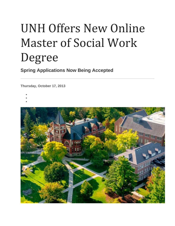# UNH Offers New Online Master of Social Work Degree

**Spring Applications Now Being Accepted**

**Thursday, October 17, 2013**

- •
- •

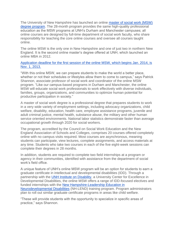The University of New Hampshire has launched an online [master of social work \(MSW\)](http://mswonline.unh.edu/about-online-msw)  [degree program.](http://mswonline.unh.edu/about-online-msw) The 28-month program provides the same high-quality professional education as the MSW programs at UNH's Durham and Manchester campuses; all online courses are designed by full-time department of social work faculty, who share responsibility for teaching the core online courses and oversee all courses taught online.

The online MSW is the only one in New Hampshire and one of just two in northern New England. It is the second online master's degree offered at UNH, which launched an online MBA in 2012.

### [Application deadline for the first session of the online MSW, which begins Jan. 2014, is](http://mswonline.unh.edu/)  [Nov. 1, 2013.](http://mswonline.unh.edu/)

"With this online MSW, we can prepare students to make the world a better place, whether or not their schedules or lifestyles allow them to come to campus," says Patrick Shannon, associate professor of social work and coordinator of the online MSW program. "Like our campus-based programs in Durham and Manchester, the online MSW will educate social work professionals to work effectively with diverse individuals, families, groups, organizations, and communities to optimize human potential for productive participation in society."

A master of social work degree is a professional degree that prepares students to work in a very wide variety of employment settings, including advocacy organizations, child welfare, disability, education, health care, employee assistance programs, juvenile and adult criminal justice, mental health, substance abuse, the military and other human service oriented environments. National labor statistics demonstrate faster than average occupational growth through 2020 for social workers.

The program, accredited by the Council on Social Work Education and the New England Association of Schools and Colleges, comprises 20 courses offered completely online with no campus visits required. Most courses are asynchronous, meaning students can participate, view lectures, complete assignments, and access materials at any time. Students who take two courses in each of the five eight-week sessions can complete their degrees in 28 months.

In addition, students are required to complete two field internships at a program or agency in their communities, identified with assistance from the department of social work's field office.

A unique feature of UNH's online MSW program will be an option for students to earn a graduate certificate in intellectual and developmental disabilities (IDD). Through a partnership with the [UNH Institute on Disability,](http://iod.unh.edu/Home.aspx) a University Center for Excellence in Developmental Disabilities, the online MSW offers a range of IDD-focused electives and funded internships with the [New Hampshire-Leadership Education in](http://www.mchlend.unh.edu/home.aspx)  [Neurodevelopmental Disabilities](http://www.mchlend.unh.edu/home.aspx) (NH-LEND) training program. Program administrators plan to roll out similar graduate certificate programs in areas like child welfare.

"These will provide students with the opportunity to specialize in specific areas of practice," says Shannon.